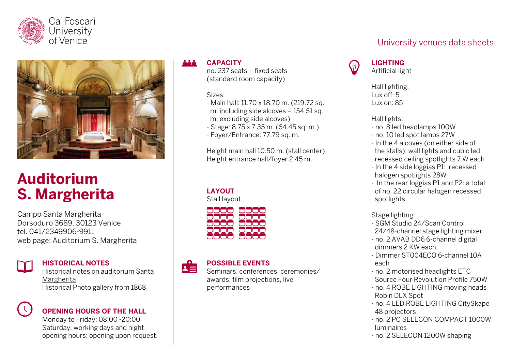



# **Auditorium S. Margherita**

Campo Santa Margherita Dorsoduro 3689, 30123 Venice tel. 041/2349906-9911 web page: [Auditorium S. Margherita](https://www.unive.it/pag/31149/)



#### **HISTORICAL NOTES**

[Historical notes on auditorium Santa](https://www.unive.it/pag/fileadmin/user_upload/ateneo/spazi/schede-storiche/scheda_cenni_storici_smargherita_eng.pdf)  [Margherita](https://www.unive.it/pag/fileadmin/user_upload/ateneo/spazi/schede-storiche/scheda_cenni_storici_smargherita_eng.pdf) [Historical Photo gallery from 1868](https://www.google.com/url?q=https://www.flickr.com/photos/cafoscari/albums/72157712601067816&sa=D&source=docs&ust=1638452260000000&usg=AOvVaw0ZnXRwWcQFx86X2awlqQlt)



**OPENING HOURS OF THE HALL**

Monday to Friday: 08:00 -20:00 Saturday, working days and night opening hours: opening upon request.

#### ååå. **CAPACITY**

no. 237 seats – fixed seats (standard room capacity)

#### Sizes:

- Main hall: 11.70 x 18.70 m. (219.72 sq. m. including side alcoves – 154.51 sq. m. excluding side alcoves)
- Stage: 8.75 x 7.35 m. (64.45 sq. m.)
- Foyer/Entrance: 77.79 sq. m.

Height main hall 10.50 m. (stall center) Height entrance hall/foyer 2.45 m.

### **LAYOUT**

Stall layout



#### **POSSIBLE EVENTS**  $\mathbf{L}$

Seminars, conferences, ceremonies/ awards, film projections, live performances

# $\eta$

# **LIGHTING**

Artificial light

Hall lighting: Lux off: 5 Lux on: 85

Hall lights:

- no. 8 led headlamps 100W
- no. 10 led spot lamps 27W
- In the 4 alcoves (on either side of the stalls): wall lights and cubic led recessed ceiling spotlights 7 W each
- In the 4 side loggias P1: recessed halogen spotlights 28W
- In the rear loggias P1 and P2: a total of no. 22 circular halogen recessed spotlights.

### Stage lighting:

- SGM Studio 24/Scan Control 24/48-channel stage lighting mixer
- no. 2 AVAB DD6 6-channel digital dimmers 2 KW each
- Dimmer ST004ECO 6-channel 10A each
- no. 2 motorised headlights ETC Source Four Revolution Profile 750W
- no. 4 ROBE LIGHTING moving heads Robin DLX Spot
- no. 4 LED ROBE LIGHTING CitySkape 48 projectors
- no. 2 PC SELECON COMPACT 1000W luminaires
- no. 2 SELECON 1200W shaping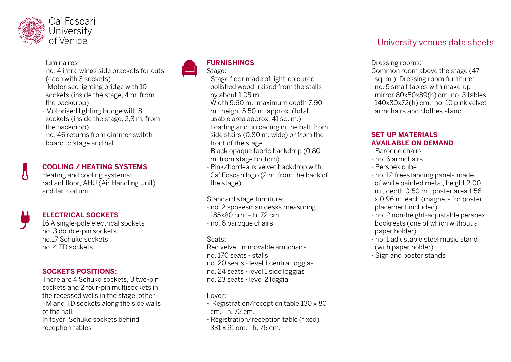

#### luminaires

- no. 4 intra-wings side brackets for cuts (each with 3 sockets)
- Motorised lighting bridge with 10 sockets (inside the stage, 4 m. from the backdrop)
- Motorised lighting bridge with 8 sockets (inside the stage, 2,3 m. from the backdrop)
- no. 46 returns from dimmer switch board to stage and hall

#### **COOLING / HEATING SYSTEMS**

Heating and cooling systems: radiant floor, AHU (Air Handling Unit) and fan coil unit



#### **ELECTRICAL SOCKETS**

16 A single-pole electrical sockets no. 3 double-pin sockets no.17 Schuko sockets no. 4 TD sockets

#### **SOCKETS POSITIONS:**

There are 4 Schuko sockets, 3 two-pin sockets and 2 four-pin multisockets in the recessed wells in the stage; other FM and TD sockets along the side walls of the hall.

In foyer: Schuko sockets behind reception tables



#### **FURNISHINGS**

- Stage floor made of light-coloured polished wood, raised from the stalls by about 1.05 m.

Width 5.60 m., maximum depth 7.90

- m., height 5.50 m. approx. (total
- usable area approx. 41 sq. m.)

Loading and unloading in the hall, from side stairs (0.80 m. wide) or from the front of the stage

- Black opaque fabric backdrop (0.80 m. from stage bottom)
- Pink/bordeaux velvet backdrop with Ca' Foscari logo (2 m. from the back of the stage)

Standard stage furniture:

- no. 2 spokesman desks measuring 185x80 cm. – h. 72 cm. - no. 6 baroque chairs

Seats:

Red velvet immovable armchairs no. 170 seats - stalls no. 20 seats - level 1 central loggias no. 24 seats - level 1 side loggias no. 23 seats - level 2 loggia

Foyer:

- Registration/reception table 130 x 80 cm. - h. 72 cm.
- Registration/reception table (fixed) 331 x 91 cm. - h. 76 cm.

#### Dressing rooms:

Common room above the stage (47 sq. m.). Dressing room furniture: no. 5 small tables with make-up mirror 80x50x89(h) cm. no. 3 tables 140x80x72(h) cm., no. 10 pink velvet armchairs and clothes stand.

#### **SET-UP MATERIALS AVAILABLE ON DEMAND**

- Baroque chairs
- no. 6 armchairs
- Perspex cube
- no. 12 freestanding panels made of white painted metal, height 2.00 m., depth 0.50 m., poster area 1.56 x 0.96 m. each (magnets for poster placement included)
- no. 2 non-height-adjustable perspex bookrests (one of which without a paper holder)
- no. 1 adjustable steel music stand (with paper holder)
- Sign and poster stands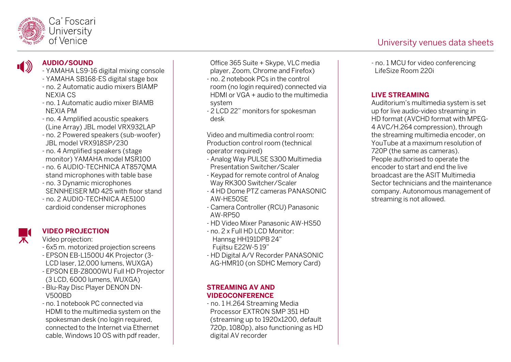

 $\blacksquare$ 

## **AUDIO/SOUND**

- YAMAHA LS9-16 digital mixing console
- YAMAHA SB168-ES digital stage box
- no. 2 Automatic audio mixers BIAMP NEXIA CS
- no. 1 Automatic audio mixer BIAMB NEXIA PM
- no. 4 Amplified acoustic speakers (Line Array) JBL model VRX932LAP
- no. 2 Powered speakers (sub-woofer) JBL model VRX918SP/230
- no. 4 Amplified speakers (stage monitor) YAMAHA model MSR100
- no. 6 AUDIO-TECHNICA AT857QMA stand microphones with table base
- no. 3 Dynamic microphones SENNHEISER MD 425 with floor stand - no. 2 AUDIO-TECHNICA AE5100 cardioid condenser microphones



## **VIDEO PROJECTION**

- Video projection:
- 6x5 m. motorized projection screens - EPSON EB-L1500U 4K Projector (3-
- LCD laser, 12,000 lumens, WUXGA)
- EPSON EB-Z8000WU Full HD Projector
- (3 LCD, 6000 lumens, WUXGA)
- Blu-Ray Disc Player DENON DN-V500BD
- no. 1 notebook PC connected via HDMI to the multimedia system on the spokesman desk (no login required, connected to the Internet via Ethernet cable, Windows 10 OS with pdf reader,

Office 365 Suite + Skype, VLC media player, Zoom, Chrome and Firefox)

- no. 2 notebook PCs in the control room (no login required) connected via HDMI or VGA + audio to the multimedia system
- 2 LCD 22" monitors for spokesman desk

Video and multimedia control room: Production control room (technical operator required)

- Analog Way PULSE S300 Multimedia Presentation Switcher/Scaler
- Keypad for remote control of Analog Way RK300 Switcher/Scaler
- 4 HD Dome PTZ cameras PANASONIC AW-HE50SE
- Camera Controller (RCU) Panasonic AW-RP50
- HD Video Mixer Panasonic AW-HS50
- no. 2 x Full HD LCD Monitor: Hannsg HH191DPB 24" Fujitsu E22W-5 19"
- HD Digital A/V Recorder PANASONIC AG-HMR10 (on SDHC Memory Card)

#### **STREAMING AV AND VIDEOCONFERENCE**

- no. 1 H.264 Streaming Media Processor EXTRON SMP 351 HD (streaming up to 1920x1200, default 720p, 1080p), also functioning as HD digital AV recorder

- no. 1 MCU for video conferencing LifeSize Room 220i

# **LIVE STREAMING**

Auditorium's multimedia system is set up for live audio-video streaming in HD format (AVCHD format with MPEG-4 AVC/H.264 compression), through the streaming multimedia encoder, on YouTube at a maximum resolution of 720P (the same as cameras). People authorised to operate the encoder to start and end the live broadcast are the ASIT Multimedia Sector technicians and the maintenance company. Autonomous management of streaming is not allowed.